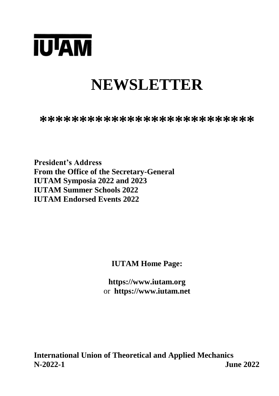

# **NEWSLETTER**

**\*\*\*\*\*\*\*\*\*\*\*\*\*\*\*\*\*\*\*\*\*\*\*\*\*\*\***

**President's Address From the Office of the Secretary-General IUTAM Symposia 2022 and 2023 IUTAM Summer Schools 2022 IUTAM Endorsed Events 2022**

**IUTAM Home Page:**

**https://www.iutam.org** or **https://www.iutam.net**

**International Union of Theoretical and Applied Mechanics N-2022-1 June 2022**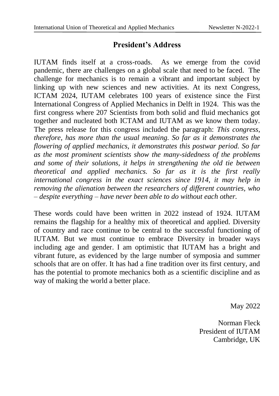#### **President's Address**

IUTAM finds itself at a cross-roads. As we emerge from the covid pandemic, there are challenges on a global scale that need to be faced. The challenge for mechanics is to remain a vibrant and important subject by linking up with new sciences and new activities. At its next Congress, ICTAM 2024, IUTAM celebrates 100 years of existence since the First International Congress of Applied Mechanics in Delft in 1924. This was the first congress where 207 Scientists from both solid and fluid mechanics got together and nucleated both ICTAM and IUTAM as we know them today. The press release for this congress included the paragraph: *This congress, therefore, has more than the usual meaning. So far as it demonstrates the flowering of applied mechanics, it demonstrates this postwar period. So far as the most prominent scientists show the many-sidedness of the problems and some of their solutions, it helps in strengthening the old tie between theoretical and applied mechanics. So far as it is the first really international congress in the exact sciences since 1914, it may help in removing the alienation between the researchers of different countries, who – despite everything – have never been able to do without each other.*

These words could have been written in 2022 instead of 1924. IUTAM remains the flagship for a healthy mix of theoretical and applied. Diversity of country and race continue to be central to the successful functioning of IUTAM. But we must continue to embrace Diversity in broader ways including age and gender. I am optimistic that IUTAM has a bright and vibrant future, as evidenced by the large number of symposia and summer schools that are on offer. It has had a fine tradition over its first century, and has the potential to promote mechanics both as a scientific discipline and as way of making the world a better place.

May 2022

Norman Fleck President of IUTAM Cambridge, UK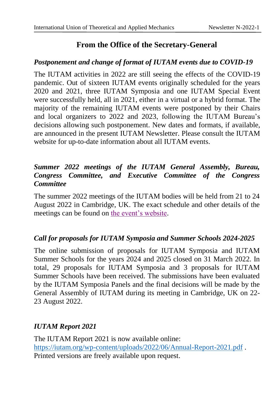# **From the Office of the Secretary-General**

#### *Postponement and change of format of IUTAM events due to COVID-19*

The IUTAM activities in 2022 are still seeing the effects of the COVID-19 pandemic. Out of sixteen IUTAM events originally scheduled for the years 2020 and 2021, three IUTAM Symposia and one IUTAM Special Event were successfully held, all in 2021, either in a virtual or a hybrid format. The majority of the remaining IUTAM events were postponed by their Chairs and local organizers to 2022 and 2023, following the IUTAM Bureau's decisions allowing such postponement. New dates and formats, if available, are announced in the present IUTAM Newsletter. Please consult the IUTAM website for up-to-date information about all IUTAM events.

#### *Summer 2022 meetings of the IUTAM General Assembly, Bureau, Congress Committee, and Executive Committee of the Congress Committee*

The summer 2022 meetings of the IUTAM bodies will be held from 21 to 24 August 2022 in Cambridge, UK. The exact schedule and other details of the meetings can be found on [the event's website.](https://multilat.eng.cam.ac.uk/)

#### *Call for proposals for IUTAM Symposia and Summer Schools 2024-2025*

The online submission of proposals for IUTAM Symposia and IUTAM Summer Schools for the years 2024 and 2025 closed on 31 March 2022. In total, 29 proposals for IUTAM Symposia and 3 proposals for IUTAM Summer Schools have been received. The submissions have been evaluated by the IUTAM Symposia Panels and the final decisions will be made by the General Assembly of IUTAM during its meeting in Cambridge, UK on 22- 23 August 2022.

#### *IUTAM Report 2021*

The IUTAM Report 2021 is now available online: <https://iutam.org/wp-content/uploads/2022/06/Annual-Report-2021.pdf> . Printed versions are freely available upon request.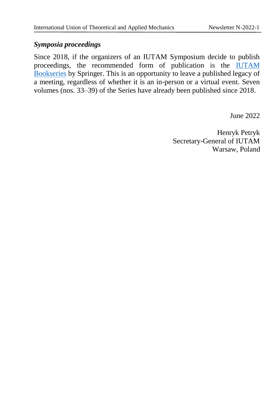#### *Symposia proceedings*

Since 2018, if the organizers of an IUTAM Symposium decide to publish proceedings, the recommended form of publication is the [IUTAM](https://www.springer.com/series/7695)  [Bookseries](https://www.springer.com/series/7695) by Springer. This is an opportunity to leave a published legacy of a meeting, regardless of whether it is an in-person or a virtual event. Seven volumes (nos. 33–39) of the Series have already been published since 2018.

June 2022

Henryk Petryk Secretary-General of IUTAM Warsaw, Poland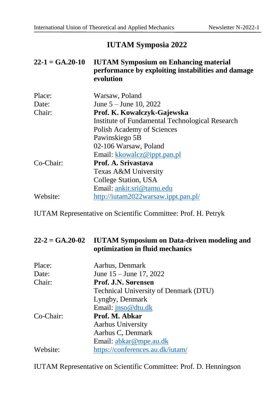# **IUTAM Symposia 2022**

| $22-1 = GA.20-10$ | <b>IUTAM Symposium on Enhancing material</b><br>performance by exploiting instabilities and damage<br>evolution |
|-------------------|-----------------------------------------------------------------------------------------------------------------|
| Place:            | Warsaw, Poland                                                                                                  |
| Date:             | June $5 -$ June 10, 2022                                                                                        |
| Chair:            | Prof. K. Kowalczyk-Gajewska                                                                                     |
|                   | Institute of Fundamental Technological Research                                                                 |
|                   | Polish Academy of Sciences                                                                                      |
|                   | Pawinskiego 5B                                                                                                  |
|                   | 02-106 Warsaw, Poland                                                                                           |
|                   | Email: kkowalcz@ippt.pan.pl                                                                                     |
| Co-Chair:         | Prof. A. Srivastava                                                                                             |
|                   | Texas A&M University                                                                                            |
|                   | College Station, USA                                                                                            |
|                   | Email: ankit.sri@tamu.edu                                                                                       |
| Website:          | http://iutam2022warsaw.ippt.pan.pl/                                                                             |

IUTAM Representative on Scientific Committee: Prof. H. Petryk

#### **22-2 = GA.20-02 IUTAM Symposium on Data-driven modeling and optimization in fluid mechanics**

| Aarhus, Denmark                       |
|---------------------------------------|
| June $15 -$ June 17, 2022             |
| Prof. J.N. Sørensen                   |
| Technical University of Denmark (DTU) |
| Lyngby, Denmark                       |
| Email: jnso@dtu.dk                    |
| Prof. M. Abkar                        |
| Aarhus University                     |
| Aarhus C, Denmark                     |
| Email: abkar@mpe.au.dk                |
| https://conferences.au.dk/iutam/      |
|                                       |

IUTAM Representative on Scientific Committee: Prof. D. Henningson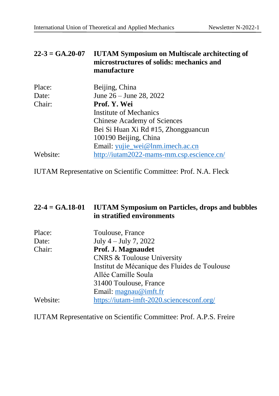#### **22-3 = GA.20-07 IUTAM Symposium on Multiscale architecting of microstructures of solids: mechanics and manufacture**

| Place:   | Beijing, China                            |
|----------|-------------------------------------------|
| Date:    | June $26 -$ June 28, 2022                 |
| Chair:   | Prof. Y. Wei                              |
|          | <b>Institute of Mechanics</b>             |
|          | <b>Chinese Academy of Sciences</b>        |
|          | Bei Si Huan Xi Rd #15, Zhongguancun       |
|          | 100190 Beijing, China                     |
|          | Email: yujie_wei@lnm.imech.ac.cn          |
| Website: | http://iutam2022-mams-mm.csp.escience.cn/ |

IUTAM Representative on Scientific Committee: Prof. N.A. Fleck

| $22-4 = GA.18-01$ | <b>IUTAM Symposium on Particles, drops and bubbles</b><br>in stratified environments |
|-------------------|--------------------------------------------------------------------------------------|
| Place:            | Toulouse, France                                                                     |
| Date:             | July $4 -$ July 7, 2022                                                              |
| Chair:            | Prof. J. Magnaudet                                                                   |
|                   | <b>CNRS &amp; Toulouse University</b>                                                |
|                   | Institut de Mécanique des Fluides de Toulouse                                        |
|                   | Allée Camille Soula                                                                  |
|                   | 31400 Toulouse, France                                                               |
|                   | Email: $\text{magnau}\n\omega$ imft.fr                                               |
| Website:          | https://iutam-imft-2020.sciencesconf.org/                                            |

IUTAM Representative on Scientific Committee: Prof. A.P.S. Freire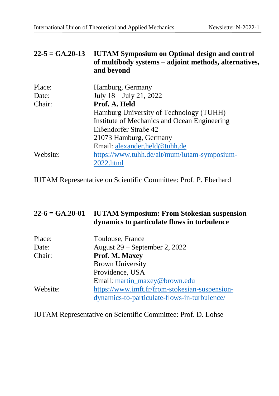| $22-5 = GA.20-13$ | <b>IUTAM Symposium on Optimal design and control</b>  |
|-------------------|-------------------------------------------------------|
|                   | of multibody systems – adjoint methods, alternatives, |
|                   | and bevond                                            |

| Place:   | Hamburg, Germany                             |
|----------|----------------------------------------------|
| Date:    | July 18 - July 21, 2022                      |
| Chair:   | Prof. A. Held                                |
|          | Hamburg University of Technology (TUHH)      |
|          | Institute of Mechanics and Ocean Engineering |
|          | Eißendorfer Straße 42                        |
|          | 21073 Hamburg, Germany                       |
|          | Email: alexander.held@tuhh.de                |
| Website: | https://www.tuhh.de/alt/mum/iutam-symposium- |
|          | 2022.html                                    |

IUTAM Representative on Scientific Committee: Prof. P. Eberhard

| $22-6 = GA.20-01$ | <b>IUTAM Symposium: From Stokesian suspension</b><br>dynamics to particulate flows in turbulence |
|-------------------|--------------------------------------------------------------------------------------------------|
| Place:            | Toulouse, France                                                                                 |
| Date:             | August 29 – September 2, 2022                                                                    |
| Chair:            | Prof. M. Maxey                                                                                   |
|                   | <b>Brown University</b>                                                                          |
|                   | Providence, USA                                                                                  |
|                   | Email: martin maxey@brown.edu                                                                    |
| Website:          | https://www.imft.fr/from-stokesian-suspension-                                                   |
|                   | dynamics-to-particulate-flows-in-turbulence/                                                     |

IUTAM Representative on Scientific Committee: Prof. D. Lohse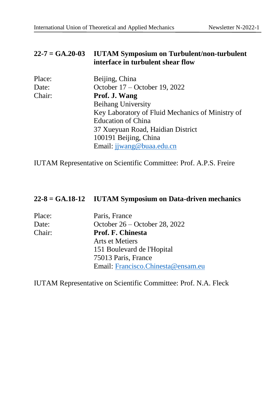#### **22-7 = GA.20-03 IUTAM Symposium on Turbulent/non-turbulent interface in turbulent shear flow**

| Place: | Beijing, China                                   |
|--------|--------------------------------------------------|
| Date:  | October 17 – October 19, 2022                    |
| Chair: | Prof. J. Wang                                    |
|        | <b>Beihang University</b>                        |
|        | Key Laboratory of Fluid Mechanics of Ministry of |
|        | <b>Education of China</b>                        |
|        | 37 Xueyuan Road, Haidian District                |
|        | 100191 Beijing, China                            |
|        | Email: jjwang@buaa.edu.cn                        |

IUTAM Representative on Scientific Committee: Prof. A.P.S. Freire

#### **22-8 = GA.18-12 IUTAM Symposium on Data-driven mechanics**

| Place: | Paris, France                      |
|--------|------------------------------------|
| Date:  | October $26 -$ October 28, 2022    |
| Chair: | Prof. F. Chinesta                  |
|        | Arts et Metiers                    |
|        | 151 Boulevard de l'Hopital         |
|        | 75013 Paris, France                |
|        | Email: Francisco.Chinesta@ensam.eu |

IUTAM Representative on Scientific Committee: Prof. N.A. Fleck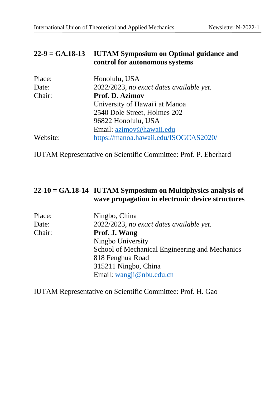#### **22-9 = GA.18-13 IUTAM Symposium on Optimal guidance and control for autonomous systems**

| Place:   | Honolulu, USA                            |
|----------|------------------------------------------|
| Date:    | 2022/2023, no exact dates available yet. |
| Chair:   | Prof. D. Azimov                          |
|          | University of Hawai'i at Manoa           |
|          | 2540 Dole Street, Holmes 202             |
|          | 96822 Honolulu, USA                      |
|          | Email: azimov@hawaii.edu                 |
| Website: | https://manoa.hawaii.edu/ISOGCAS2020/    |

IUTAM Representative on Scientific Committee: Prof. P. Eberhard

### **22-10 = GA.18-14 IUTAM Symposium on Multiphysics analysis of wave propagation in electronic device structures**

| Place: | Ningbo, China                                  |
|--------|------------------------------------------------|
| Date:  | 2022/2023, no exact dates available yet.       |
| Chair: | Prof. J. Wang                                  |
|        | Ningbo University                              |
|        | School of Mechanical Engineering and Mechanics |
|        | 818 Fenghua Road                               |
|        | 315211 Ningbo, China                           |
|        | Email: wangji@nbu.edu.cn                       |

IUTAM Representative on Scientific Committee: Prof. H. Gao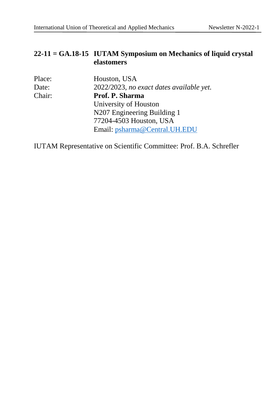#### **22-11 = GA.18-15 IUTAM Symposium on Mechanics of liquid crystal elastomers**

| Place: | Houston, USA                             |
|--------|------------------------------------------|
| Date:  | 2022/2023, no exact dates available yet. |
| Chair: | Prof. P. Sharma                          |
|        | University of Houston                    |
|        | N207 Engineering Building 1              |
|        | 77204-4503 Houston, USA                  |
|        | Email: psharma@Central.UH.EDU            |

IUTAM Representative on Scientific Committee: Prof. B.A. Schrefler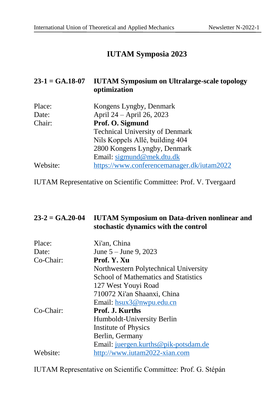# **IUTAM Symposia 2023**

#### **23-1 = GA.18-07 IUTAM Symposium on Ultralarge-scale topology optimization**

| Place:   | Kongens Lyngby, Denmark                    |
|----------|--------------------------------------------|
| Date:    | April 24 - April 26, 2023                  |
| Chair:   | Prof. O. Sigmund                           |
|          | <b>Technical University of Denmark</b>     |
|          | Nils Koppels Allé, building 404            |
|          | 2800 Kongens Lyngby, Denmark               |
|          | Email: sigmund@mek.dtu.dk                  |
| Website: | https://www.conferencemanager.dk/iutam2022 |

IUTAM Representative on Scientific Committee: Prof. V. Tvergaard

#### **23-2 = GA.20-04 IUTAM Symposium on Data-driven nonlinear and stochastic dynamics with the control**

| Place:    | Xi'an, China                                |
|-----------|---------------------------------------------|
| Date:     | June $5 -$ June 9, 2023                     |
| Co-Chair: | Prof. Y. Xu                                 |
|           | Northwestern Polytechnical University       |
|           | <b>School of Mathematics and Statistics</b> |
|           | 127 West Youyi Road                         |
|           | 710072 Xi'an Shaanxi, China                 |
|           | Email: hsux3@nwpu.edu.cn                    |
| Co-Chair: | Prof. J. Kurths                             |
|           | Humboldt-University Berlin                  |
|           | Institute of Physics                        |
|           | Berlin, Germany                             |
|           | Email: juergen.kurths@pik-potsdam.de        |
| Website:  | http://www.iutam2022-xian.com               |

IUTAM Representative on Scientific Committee: Prof. G. Stépán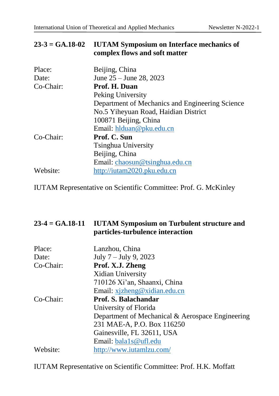#### **23-3 = GA.18-02 IUTAM Symposium on Interface mechanics of complex flows and soft matter**

| Place:    | Beijing, China                                  |
|-----------|-------------------------------------------------|
| Date:     | June $25 -$ June 28, 2023                       |
| Co-Chair: | Prof. H. Duan                                   |
|           | Peking University                               |
|           | Department of Mechanics and Engineering Science |
|           | No.5 Yiheyuan Road, Haidian District            |
|           | 100871 Beijing, China                           |
|           | Email: hlduan@pku.edu.cn                        |
| Co-Chair: | Prof. C. Sun                                    |
|           | <b>Tsinghua University</b>                      |
|           | Beijing, China                                  |
|           | Email: chaosun@tsinghua.edu.cn                  |
| Website:  | http://iutam2020.pku.edu.cn                     |
|           |                                                 |

IUTAM Representative on Scientific Committee: Prof. G. McKinley

#### **23-4 = GA.18-11 IUTAM Symposium on Turbulent structure and particles-turbulence interaction**

| Place:    | Lanzhou, China                                   |
|-----------|--------------------------------------------------|
| Date:     | July $7 -$ July 9, 2023                          |
| Co-Chair: | Prof. X.J. Zheng                                 |
|           | Xidian University                                |
|           | 710126 Xi'an, Shaanxi, China                     |
|           | Email: xjzheng@xidian.edu.cn                     |
| Co-Chair: | Prof. S. Balachandar                             |
|           | University of Florida                            |
|           | Department of Mechanical & Aerospace Engineering |
|           | 231 MAE-A, P.O. Box 116250                       |
|           | Gainesville, FL 32611, USA                       |
|           | Email: bala1s@ufl.edu                            |
| Website:  | http://www.iutamlzu.com/                         |

IUTAM Representative on Scientific Committee: Prof. H.K. Moffatt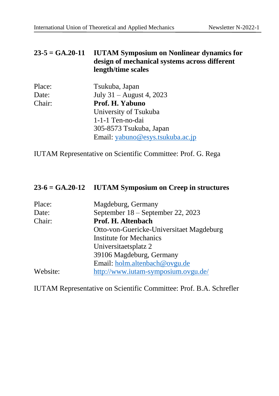#### **23-5 = GA.20-11 IUTAM Symposium on Nonlinear dynamics for design of mechanical systems across different length/time scales**

| Place: | Tsukuba, Japan                   |
|--------|----------------------------------|
| Date:  | July 31 – August 4, 2023         |
| Chair: | Prof. H. Yabuno                  |
|        | University of Tsukuba            |
|        | 1-1-1 Ten-no-dai                 |
|        | 305-8573 Tsukuba, Japan          |
|        | Email: yabuno@esys.tsukuba.ac.jp |

IUTAM Representative on Scientific Committee: Prof. G. Rega

#### **23-6 = GA.20-12 IUTAM Symposium on Creep in structures**

| Place:   | Magdeburg, Germany                       |
|----------|------------------------------------------|
| Date:    | September 18 – September 22, 2023        |
| Chair:   | Prof. H. Altenbach                       |
|          | Otto-von-Guericke-Universitaet Magdeburg |
|          | Institute for Mechanics                  |
|          | Universitaetsplatz 2                     |
|          | 39106 Magdeburg, Germany                 |
|          | Email: holm.altenbach@ovgu.de            |
| Website: | http://www.iutam-symposium.ovgu.de/      |

IUTAM Representative on Scientific Committee: Prof. B.A. Schrefler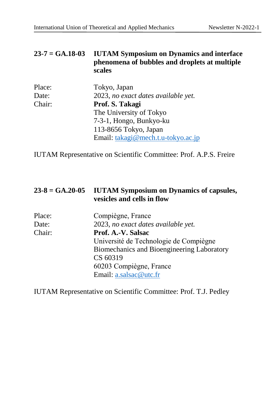#### **23-7 = GA.18-03 IUTAM Symposium on Dynamics and interface phenomena of bubbles and droplets at multiple scales**

| Place: | Tokyo, Japan                        |
|--------|-------------------------------------|
| Date:  | 2023, no exact dates available yet. |
| Chair: | Prof. S. Takagi                     |
|        | The University of Tokyo             |
|        | 7-3-1, Hongo, Bunkyo-ku             |
|        | 113-8656 Tokyo, Japan               |
|        | Email: takagi@mech.t.u-tokyo.ac.jp  |

IUTAM Representative on Scientific Committee: Prof. A.P.S. Freire

#### **23-8 = GA.20-05 IUTAM Symposium on Dynamics of capsules, vesicles and cells in flow**

| Place: | Compiègne, France                          |
|--------|--------------------------------------------|
| Date:  | 2023, no exact dates available yet.        |
| Chair: | Prof. A.-V. Salsac                         |
|        | Université de Technologie de Compiègne     |
|        | Biomechanics and Bioengineering Laboratory |
|        | CS 60319                                   |
|        | 60203 Compiègne, France                    |
|        | Email: a.salsac@utc.fr                     |

IUTAM Representative on Scientific Committee: Prof. T.J. Pedley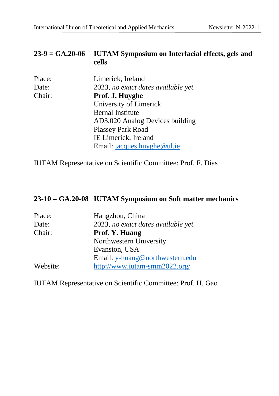#### **23-9 = GA.20-06 IUTAM Symposium on Interfacial effects, gels and cells**

| Place: | Limerick, Ireland                   |
|--------|-------------------------------------|
| Date:  | 2023, no exact dates available yet. |
| Chair: | Prof. J. Huyghe                     |
|        | University of Limerick              |
|        | <b>Bernal Institute</b>             |
|        | AD3.020 Analog Devices building     |
|        | <b>Plassey Park Road</b>            |
|        | IE Limerick, Ireland                |
|        | Email: jacques.huyghe@ul.ie         |

IUTAM Representative on Scientific Committee: Prof. F. Dias

# **23-10 = GA.20-08 IUTAM Symposium on Soft matter mechanics**

| Place:   | Hangzhou, China                     |
|----------|-------------------------------------|
| Date:    | 2023, no exact dates available yet. |
| Chair:   | Prof. Y. Huang                      |
|          | Northwestern University             |
|          | Evanston, USA                       |
|          | Email: y-huang@northwestern.edu     |
| Website: | http://www.iutam-smm2022.org/       |

IUTAM Representative on Scientific Committee: Prof. H. Gao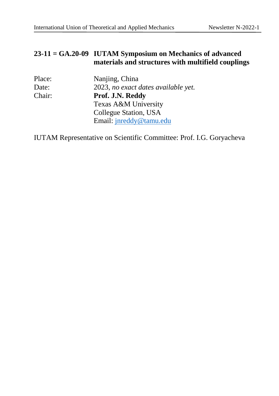#### **23-11 = GA.20-09 IUTAM Symposium on Mechanics of advanced materials and structures with multifield couplings**

| Nanjing, China                      |
|-------------------------------------|
| 2023, no exact dates available yet. |
| Prof. J.N. Reddy                    |
| Texas A&M University                |
| Collegue Station, USA               |
| Email: jnreddy@tamu.edu             |
|                                     |

IUTAM Representative on Scientific Committee: Prof. I.G. Goryacheva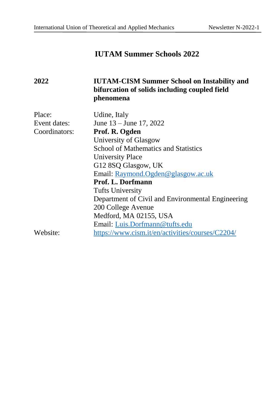# **IUTAM Summer Schools 2022**

# **2022 IUTAM-CISM Summer School on Instability and bifurcation of solids including coupled field phenomena**

| Place:        | Udine, Italy                                      |
|---------------|---------------------------------------------------|
| Event dates:  | June $13 -$ June 17, 2022                         |
| Coordinators: | Prof. R. Ogden                                    |
|               | University of Glasgow                             |
|               | <b>School of Mathematics and Statistics</b>       |
|               | <b>University Place</b>                           |
|               | G12 8SQ Glasgow, UK                               |
|               | Email: Raymond.Ogden@glasgow.ac.uk                |
|               | Prof. L. Dorfmann                                 |
|               | <b>Tufts University</b>                           |
|               | Department of Civil and Environmental Engineering |
|               | 200 College Avenue                                |
|               | Medford, MA 02155, USA                            |
|               | Email: Luis.Dorfmann@tufts.edu                    |
| Website:      | https://www.cism.it/en/activities/courses/C2204/  |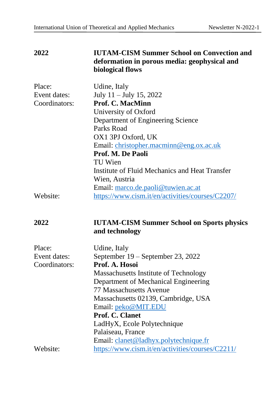#### **2022 IUTAM-CISM Summer School on Convection and deformation in porous media: geophysical and biological flows**

| Place:        | Udine, Italy                                     |
|---------------|--------------------------------------------------|
| Event dates:  | July $11 -$ July 15, 2022                        |
| Coordinators: | <b>Prof. C. MacMinn</b>                          |
|               | University of Oxford                             |
|               | Department of Engineering Science                |
|               | Parks Road                                       |
|               | OX1 3PJ Oxford, UK                               |
|               | Email: christopher.macminn@eng.ox.ac.uk          |
|               | Prof. M. De Paoli                                |
|               | TU Wien                                          |
|               | Institute of Fluid Mechanics and Heat Transfer   |
|               | Wien, Austria                                    |
|               | Email: marco.de.paoli@tuwien.ac.at               |
| Website:      | https://www.cism.it/en/activities/courses/C2207/ |

# **2022 IUTAM-CISM Summer School on Sports physics and technology**

| Place:        | Udine, Italy                                     |
|---------------|--------------------------------------------------|
| Event dates:  | September 19 – September 23, 2022                |
| Coordinators: | Prof. A. Hosoi                                   |
|               | Massachusetts Institute of Technology            |
|               | Department of Mechanical Engineering             |
|               | 77 Massachusetts Avenue                          |
|               | Massachusetts 02139, Cambridge, USA              |
|               | Email: peko@MIT.EDU                              |
|               | Prof. C. Clanet                                  |
|               | LadHyX, Ecole Polytechnique                      |
|               | Palaiseau, France                                |
|               | Email: clanet@ladhyx.polytechnique.fr            |
| Website:      | https://www.cism.it/en/activities/courses/C2211/ |
|               |                                                  |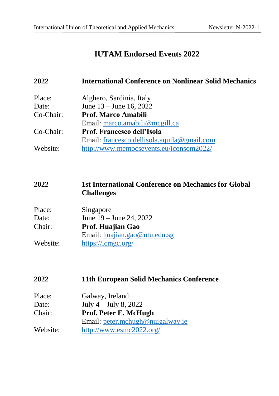# **IUTAM Endorsed Events 2022**

| 2022      | <b>International Conference on Nonlinear Solid Mechanics</b> |
|-----------|--------------------------------------------------------------|
| Place:    | Alghero, Sardinia, Italy                                     |
| Date:     | June 13 – June 16, 2022                                      |
| Co-Chair: | Prof. Marco Amabili                                          |
|           | Email: marco.amabili@mcgill.ca                               |
| Co-Chair: | Prof. Francesco dell'Isola                                   |
|           | Email: francesco.dellisola.aquila@gmail.com                  |
| Website:  | http://www.memocsevents.eu/iconsom2022/                      |

#### **2022 1st International Conference on Mechanics for Global Challenges**

| Place:   | Singapore                     |
|----------|-------------------------------|
| Date:    | June $19 -$ June 24, 2022     |
| Chair:   | Prof. Huajian Gao             |
|          | Email: huajian.gao@ntu.edu.sg |
| Website: | https://icmgc.org/            |

#### **2022 11th European Solid Mechanics Conference**

| Place:   | Galway, Ireland                  |
|----------|----------------------------------|
| Date:    | July $4 -$ July 8, 2022          |
| Chair:   | Prof. Peter E. McHugh            |
|          | Email: peter.mchugh@nuigalway.ie |
| Website: | http://www.esmc2022.org/         |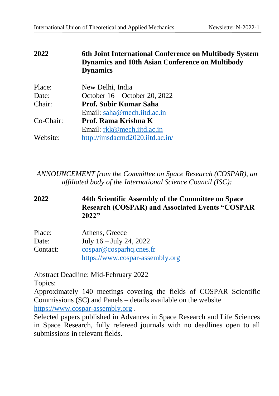#### **2022 6th Joint International Conference on Multibody System Dynamics and 10th Asian Conference on Multibody Dynamics**

| Place:    | New Delhi, India                |
|-----------|---------------------------------|
| Date:     | October 16 – October 20, 2022   |
| Chair:    | Prof. Subir Kumar Saha          |
|           | Email: saha@mech.iitd.ac.in     |
| Co-Chair: | Prof. Rama Krishna K            |
|           | Email: rkk@mech.iitd.ac.in      |
| Website:  | http://imsdacmd2020.iitd.ac.in/ |

*ANNOUNCEMENT from the Committee on Space Research (COSPAR), an affiliated body of the International Science Council (ISC):*

#### **2022 44th Scientific Assembly of the Committee on Space Research (COSPAR) and Associated Events "COSPAR 2022"**

| Place:   | Athens, Greece                  |
|----------|---------------------------------|
| Date:    | July $16 -$ July 24, 2022       |
| Contact: | cospar@cosparhq.ones.fr         |
|          | https://www.cospar-assembly.org |

Abstract Deadline: Mid-February 2022 Topics:

Approximately 140 meetings covering the fields of COSPAR Scientific Commissions (SC) and Panels – details available on the website [https://www.cospar-assembly.org](https://www.cospar-assembly.org/) .

Selected papers published in Advances in Space Research and Life Sciences in Space Research, fully refereed journals with no deadlines open to all submissions in relevant fields.